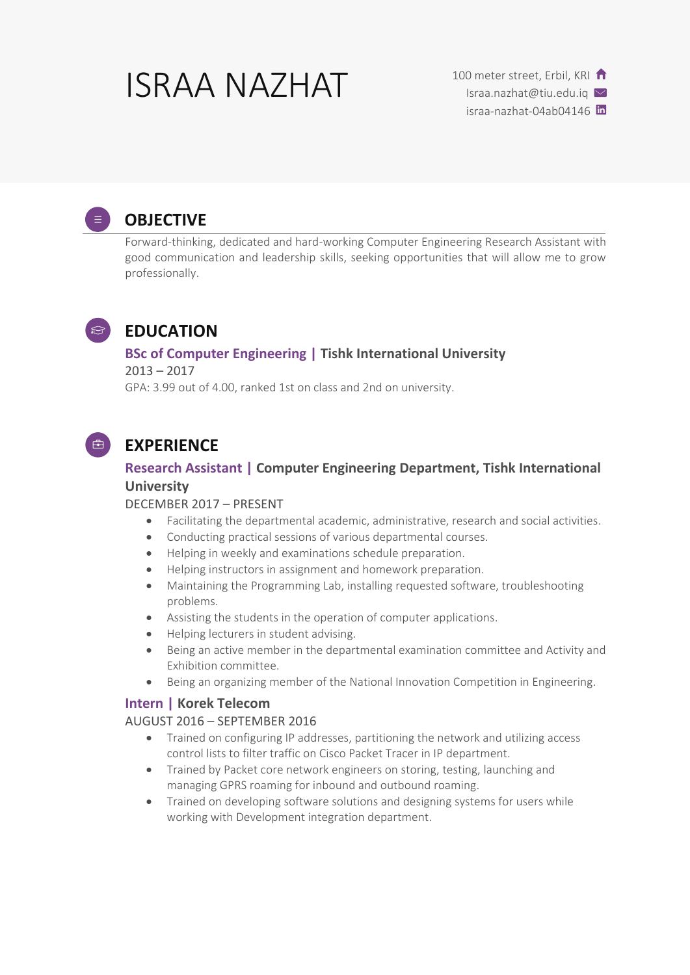# ISRAA NAZHAT 100 meter street, Erbil, KRI

Israa.nazhat@tiu.edu.iq

israa-nazhat-04ab04146 m



# **OBJECTIVE**

Forward-thinking, dedicated and hard-working Computer Engineering Research Assistant with good communication and leadership skills, seeking opportunities that will allow me to grow professionally.



## **EDUCATION**

## **BSc of Computer Engineering | Tishk International University**

2013 – 2017 GPA: 3.99 out of 4.00, ranked 1st on class and 2nd on university.



# **EXPERIENCE**

## **Research Assistant | Computer Engineering Department, Tishk International University**

#### DECEMBER 2017 – PRESENT

- Facilitating the departmental academic, administrative, research and social activities.
- Conducting practical sessions of various departmental courses.
- Helping in weekly and examinations schedule preparation.
- Helping instructors in assignment and homework preparation.
- Maintaining the Programming Lab, installing requested software, troubleshooting problems.
- Assisting the students in the operation of computer applications.
- Helping lecturers in student advising.
- Being an active member in the departmental examination committee and Activity and Exhibition committee.
- Being an organizing member of the National Innovation Competition in Engineering.

### **Intern | Korek Telecom**

#### AUGUST 2016 – SEPTEMBER 2016

- Trained on configuring IP addresses, partitioning the network and utilizing access control lists to filter traffic on Cisco Packet Tracer in IP department.
- Trained by Packet core network engineers on storing, testing, launching and managing GPRS roaming for inbound and outbound roaming.
- Trained on developing software solutions and designing systems for users while working with Development integration department.